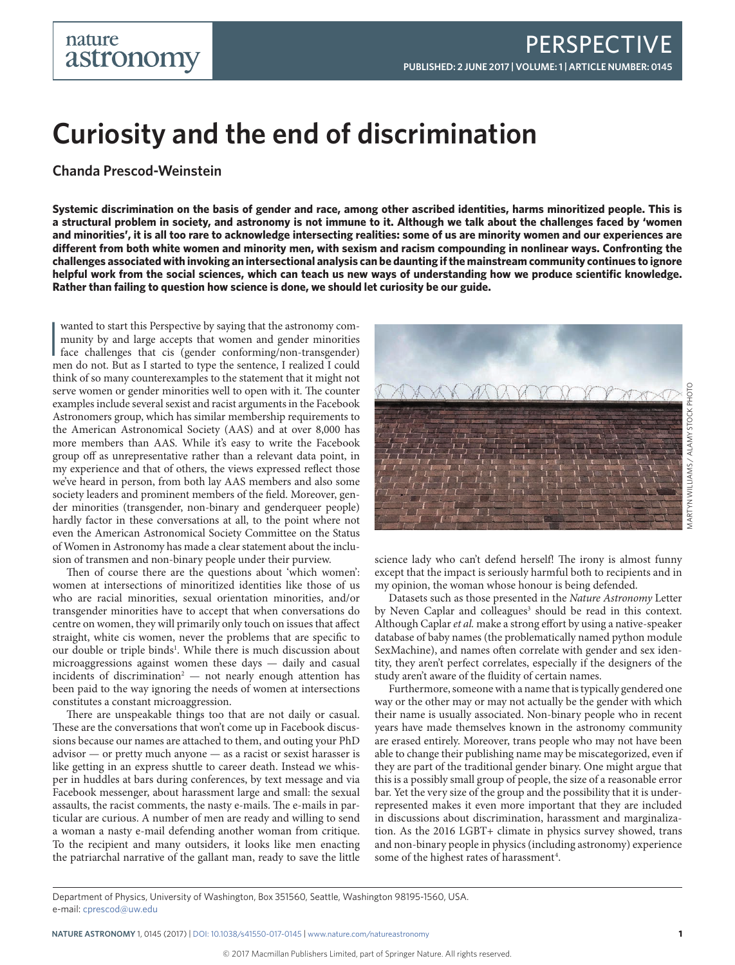# **Curiosity and the end of discrimination**

### **Chanda Prescod-Weinstein**

**Systemic discrimination on the basis of gender and race, among other ascribed identities, harms minoritized people. This is a structural problem in society, and astronomy is not immune to it. Although we talk about the challenges faced by 'women and minorities', it is all too rare to acknowledge intersecting realities: some of us are minority women and our experiences are different from both white women and minority men, with sexism and racism compounding in nonlinear ways. Confronting the challenges associated with invoking an intersectional analysis can be daunting if the mainstream community continues to ignore helpful work from the social sciences, which can teach us new ways of understanding how we produce scientific knowledge. Rather than failing to question how science is done, we should let curiosity be our guide.**

I wanted to start this Perspective by saying that the astronomy com-<br>
munity by and large accepts that women and gender minorities<br>
face challenges that cis (gender conforming/non-transgender)<br>
men do not But as I started munity by and large accepts that women and gender minorities men do not. But as I started to type the sentence, I realized I could think of so many counterexamples to the statement that it might not serve women or gender minorities well to open with it. The counter examples include several sexist and racist arguments in the Facebook Astronomers group, which has similar membership requirements to the American Astronomical Society (AAS) and at over 8,000 has more members than AAS. While it's easy to write the Facebook group off as unrepresentative rather than a relevant data point, in my experience and that of others, the views expressed reflect those we've heard in person, from both lay AAS members and also some society leaders and prominent members of the field. Moreover, gender minorities (transgender, non-binary and genderqueer people) hardly factor in these conversations at all, to the point where not even the American Astronomical Society Committee on the Status of Women in Astronomy has made a clear statement about the inclusion of transmen and non-binary people under their purview.

Then of course there are the questions about 'which women': women at intersections of minoritized identities like those of us who are racial minorities, sexual orientation minorities, and/or transgender minorities have to accept that when conversations do centre on women, they will primarily only touch on issues that affect straight, white cis women, never the problems that are specific to our double or triple binds<sup>1</sup>. While there is much discussion about microaggressions against women these days — daily and casual incidents of discrimination<sup>2</sup>  $-$  not nearly enough attention has been paid to the way ignoring the needs of women at intersections constitutes a constant microaggression.

There are unspeakable things too that are not daily or casual. These are the conversations that won't come up in Facebook discussions because our names are attached to them, and outing your PhD advisor — or pretty much anyone — as a racist or sexist harasser is like getting in an express shuttle to career death. Instead we whisper in huddles at bars during conferences, by text message and via Facebook messenger, about harassment large and small: the sexual assaults, the racist comments, the nasty e-mails. The e-mails in particular are curious. A number of men are ready and willing to send a woman a nasty e-mail defending another woman from critique. To the recipient and many outsiders, it looks like men enacting the patriarchal narrative of the gallant man, ready to save the little



science lady who can't defend herself! The irony is almost funny except that the impact is seriously harmful both to recipients and in my opinion, the woman whose honour is being defended.

Datasets such as those presented in the *Nature Astronomy* Letter by Neven Caplar and colleagues<sup>3</sup> should be read in this context. Although Caplar *et al.* make a strong effort by using a native-speaker database of baby names (the problematically named python module SexMachine), and names often correlate with gender and sex identity, they aren't perfect correlates, especially if the designers of the study aren't aware of the fluidity of certain names.

Furthermore, someone with a name that is typically gendered one way or the other may or may not actually be the gender with which their name is usually associated. Non-binary people who in recent years have made themselves known in the astronomy community are erased entirely. Moreover, trans people who may not have been able to change their publishing name may be miscategorized, even if they are part of the traditional gender binary. One might argue that this is a possibly small group of people, the size of a reasonable error bar. Yet the very size of the group and the possibility that it is underrepresented makes it even more important that they are included in discussions about discrimination, harassment and marginalization. As the 2016 LGBT+ climate in physics survey showed, trans and non-binary people in physics (including astronomy) experience some of the highest rates of harassment<sup>4</sup>.

Department of Physics, University of Washington, Box 351560, Seattle, Washington 98195-1560, USA. e-mail: [cprescod@uw.edu](mailto:cprescod@uw.edu)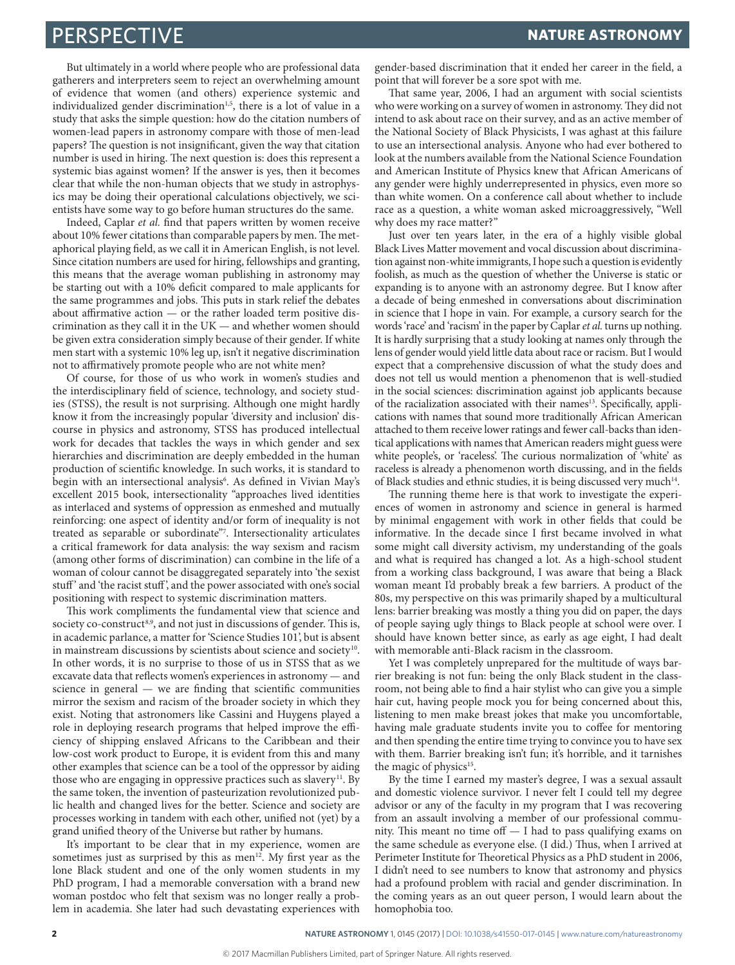## **PERSPECTIVE THE RESPECTIVE REPORT OF PERSPECTIVE**

But ultimately in a world where people who are professional data gatherers and interpreters seem to reject an overwhelming amount of evidence that women (and others) experience systemic and individualized gender discrimination<sup>1,5</sup>, there is a lot of value in a study that asks the simple question: how do the citation numbers of women-lead papers in astronomy compare with those of men-lead papers? The question is not insignificant, given the way that citation number is used in hiring. The next question is: does this represent a systemic bias against women? If the answer is yes, then it becomes clear that while the non-human objects that we study in astrophysics may be doing their operational calculations objectively, we scientists have some way to go before human structures do the same.

Indeed, Caplar *et al.* find that papers written by women receive about 10% fewer citations than comparable papers by men. The metaphorical playing field, as we call it in American English, is not level. Since citation numbers are used for hiring, fellowships and granting, this means that the average woman publishing in astronomy may be starting out with a 10% deficit compared to male applicants for the same programmes and jobs. This puts in stark relief the debates about affirmative action — or the rather loaded term positive discrimination as they call it in the UK — and whether women should be given extra consideration simply because of their gender. If white men start with a systemic 10% leg up, isn't it negative discrimination not to affirmatively promote people who are not white men?

Of course, for those of us who work in women's studies and the interdisciplinary field of science, technology, and society studies (STSS), the result is not surprising. Although one might hardly know it from the increasingly popular 'diversity and inclusion' discourse in physics and astronomy, STSS has produced intellectual work for decades that tackles the ways in which gender and sex hierarchies and discrimination are deeply embedded in the human production of scientific knowledge. In such works, it is standard to begin with an intersectional analysis<sup>6</sup>. As defined in Vivian May's excellent 2015 book, intersectionality "approaches lived identities as interlaced and systems of oppression as enmeshed and mutually reinforcing: one aspect of identity and/or form of inequality is not treated as separable or subordinate"7 . Intersectionality articulates a critical framework for data analysis: the way sexism and racism (among other forms of discrimination) can combine in the life of a woman of colour cannot be disaggregated separately into 'the sexist stuff' and 'the racist stuff', and the power associated with one's social positioning with respect to systemic discrimination matters.

This work compliments the fundamental view that science and society co-construct<sup>8,9</sup>, and not just in discussions of gender. This is, in academic parlance, a matter for 'Science Studies 101', but is absent in mainstream discussions by scientists about science and society<sup>10</sup>. In other words, it is no surprise to those of us in STSS that as we excavate data that reflects women's experiences in astronomy — and science in general — we are finding that scientific communities mirror the sexism and racism of the broader society in which they exist. Noting that astronomers like Cassini and Huygens played a role in deploying research programs that helped improve the efficiency of shipping enslaved Africans to the Caribbean and their low-cost work product to Europe, it is evident from this and many other examples that science can be a tool of the oppressor by aiding those who are engaging in oppressive practices such as slavery<sup>11</sup>. By the same token, the invention of pasteurization revolutionized public health and changed lives for the better. Science and society are processes working in tandem with each other, unified not (yet) by a grand unified theory of the Universe but rather by humans.

It's important to be clear that in my experience, women are sometimes just as surprised by this as men<sup>12</sup>. My first year as the lone Black student and one of the only women students in my PhD program, I had a memorable conversation with a brand new woman postdoc who felt that sexism was no longer really a problem in academia. She later had such devastating experiences with

gender-based discrimination that it ended her career in the field, a point that will forever be a sore spot with me.

That same year, 2006, I had an argument with social scientists who were working on a survey of women in astronomy. They did not intend to ask about race on their survey, and as an active member of the National Society of Black Physicists, I was aghast at this failure to use an intersectional analysis. Anyone who had ever bothered to look at the numbers available from the National Science Foundation and American Institute of Physics knew that African Americans of any gender were highly underrepresented in physics, even more so than white women. On a conference call about whether to include race as a question, a white woman asked microaggressively, "Well why does my race matter?"

Just over ten years later, in the era of a highly visible global Black Lives Matter movement and vocal discussion about discrimination against non-white immigrants, I hope such a question is evidently foolish, as much as the question of whether the Universe is static or expanding is to anyone with an astronomy degree. But I know after a decade of being enmeshed in conversations about discrimination in science that I hope in vain. For example, a cursory search for the words 'race' and 'racism' in the paper by Caplar *et al.* turns up nothing. It is hardly surprising that a study looking at names only through the lens of gender would yield little data about race or racism. But I would expect that a comprehensive discussion of what the study does and does not tell us would mention a phenomenon that is well-studied in the social sciences: discrimination against job applicants because of the racialization associated with their names<sup>13</sup>. Specifically, applications with names that sound more traditionally African American attached to them receive lower ratings and fewer call-backs than identical applications with names that American readers might guess were white people's, or 'raceless'. The curious normalization of 'white' as raceless is already a phenomenon worth discussing, and in the fields of Black studies and ethnic studies, it is being discussed very much<sup>14</sup>.

The running theme here is that work to investigate the experiences of women in astronomy and science in general is harmed by minimal engagement with work in other fields that could be informative. In the decade since I first became involved in what some might call diversity activism, my understanding of the goals and what is required has changed a lot. As a high-school student from a working class background, I was aware that being a Black woman meant I'd probably break a few barriers. A product of the 80s, my perspective on this was primarily shaped by a multicultural lens: barrier breaking was mostly a thing you did on paper, the days of people saying ugly things to Black people at school were over. I should have known better since, as early as age eight, I had dealt with memorable anti-Black racism in the classroom.

Yet I was completely unprepared for the multitude of ways barrier breaking is not fun: being the only Black student in the classroom, not being able to find a hair stylist who can give you a simple hair cut, having people mock you for being concerned about this, listening to men make breast jokes that make you uncomfortable, having male graduate students invite you to coffee for mentoring and then spending the entire time trying to convince you to have sex with them. Barrier breaking isn't fun; it's horrible, and it tarnishes the magic of physics<sup>15</sup>.

By the time I earned my master's degree, I was a sexual assault and domestic violence survivor. I never felt I could tell my degree advisor or any of the faculty in my program that I was recovering from an assault involving a member of our professional community. This meant no time off — I had to pass qualifying exams on the same schedule as everyone else. (I did.) Thus, when I arrived at Perimeter Institute for Theoretical Physics as a PhD student in 2006, I didn't need to see numbers to know that astronomy and physics had a profound problem with racial and gender discrimination. In the coming years as an out queer person, I would learn about the homophobia too.